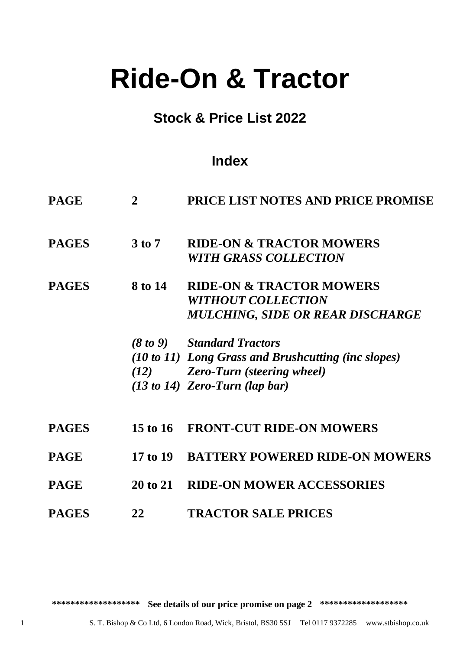# **Ride-On & Tractor**

# **Stock & Price List 2022**

# **Index**

| <b>PAGE</b>  | $\mathbf{2}$    | <b>PRICE LIST NOTES AND PRICE PROMISE</b>           |
|--------------|-----------------|-----------------------------------------------------|
| <b>PAGES</b> | 3 to 7          | <b>RIDE-ON &amp; TRACTOR MOWERS</b>                 |
|              |                 | <b>WITH GRASS COLLECTION</b>                        |
| <b>PAGES</b> | 8 to 14         | <b>RIDE-ON &amp; TRACTOR MOWERS</b>                 |
|              |                 | <b>WITHOUT COLLECTION</b>                           |
|              |                 | MULCHING, SIDE OR REAR DISCHARGE                    |
|              |                 | (8 to 9) Standard Tractors                          |
|              |                 | (10 to 11) Long Grass and Brushcutting (inc slopes) |
|              |                 | (12) Zero-Turn (steering wheel)                     |
|              |                 | $(13 to 14)$ Zero-Turn (lap bar)                    |
| <b>PAGES</b> |                 | 15 to 16 FRONT-CUT RIDE-ON MOWERS                   |
| <b>PAGE</b>  | 17 to 19        | <b>BATTERY POWERED RIDE-ON MOWERS</b>               |
| <b>PAGE</b>  | <b>20 to 21</b> | <b>RIDE-ON MOWER ACCESSORIES</b>                    |
| <b>PAGES</b> | 22              | <b>TRACTOR SALE PRICES</b>                          |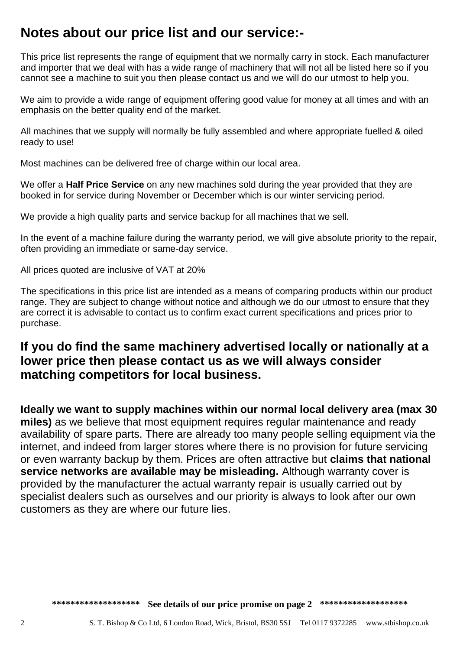# **Notes about our price list and our service:-**

This price list represents the range of equipment that we normally carry in stock. Each manufacturer and importer that we deal with has a wide range of machinery that will not all be listed here so if you cannot see a machine to suit you then please contact us and we will do our utmost to help you.

We aim to provide a wide range of equipment offering good value for money at all times and with an emphasis on the better quality end of the market.

All machines that we supply will normally be fully assembled and where appropriate fuelled & oiled ready to use!

Most machines can be delivered free of charge within our local area.

We offer a **Half Price Service** on any new machines sold during the year provided that they are booked in for service during November or December which is our winter servicing period.

We provide a high quality parts and service backup for all machines that we sell.

In the event of a machine failure during the warranty period, we will give absolute priority to the repair, often providing an immediate or same-day service.

All prices quoted are inclusive of VAT at 20%

The specifications in this price list are intended as a means of comparing products within our product range. They are subject to change without notice and although we do our utmost to ensure that they are correct it is advisable to contact us to confirm exact current specifications and prices prior to purchase.

# **If you do find the same machinery advertised locally or nationally at a lower price then please contact us as we will always consider matching competitors for local business.**

**Ideally we want to supply machines within our normal local delivery area (max 30 miles)** as we believe that most equipment requires regular maintenance and ready availability of spare parts. There are already too many people selling equipment via the internet, and indeed from larger stores where there is no provision for future servicing or even warranty backup by them. Prices are often attractive but **claims that national service networks are available may be misleading.** Although warranty cover is provided by the manufacturer the actual warranty repair is usually carried out by specialist dealers such as ourselves and our priority is always to look after our own customers as they are where our future lies.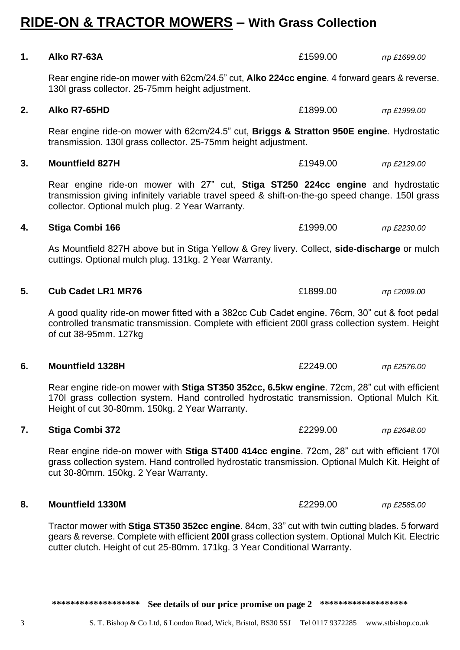# **RIDE-ON & TRACTOR MOWERS – With Grass Collection**

**1. Alko R7-63A** £1599.00 *rrp £1699.00*

Rear engine ride-on mower with 62cm/24.5" cut, **Alko 224cc engine**. 4 forward gears & reverse.

130l grass collector. 25-75mm height adjustment. **2. Alko R7-65HD** £1899.00 *rrp £1999.00* Rear engine ride-on mower with 62cm/24.5" cut, **Briggs & Stratton 950E engine**. Hydrostatic transmission. 130l grass collector. 25-75mm height adjustment. **3. Mountfield 827H** £1949.00 *rrp £2129.00* Rear engine ride-on mower with 27" cut, **Stiga ST250 224cc engine** and hydrostatic transmission giving infinitely variable travel speed & shift-on-the-go speed change. 150l grass collector. Optional mulch plug. 2 Year Warranty. **4. Stiga Combi 166** £1999.00 *rrp £2230.00* As Mountfield 827H above but in Stiga Yellow & Grey livery. Collect, **side-discharge** or mulch cuttings. Optional mulch plug. 131kg. 2 Year Warranty. **5. Cub Cadet LR1 MR76** £1899.00 *rrp £2099.00* A good quality ride-on mower fitted with a 382cc Cub Cadet engine. 76cm, 30" cut & foot pedal controlled transmatic transmission. Complete with efficient 200l grass collection system. Height of cut 38-95mm. 127kg

### **6. Mountfield 1328H** £2249.00 *rrp £2576.00*

Rear engine ride-on mower with **Stiga ST350 352cc, 6.5kw engine**. 72cm, 28" cut with efficient 170l grass collection system. Hand controlled hydrostatic transmission. Optional Mulch Kit. Height of cut 30-80mm. 150kg. 2 Year Warranty.

### **7. Stiga Combi 372** £2299.00 *rrp £2648.00*

Rear engine ride-on mower with **Stiga ST400 414cc engine**. 72cm, 28" cut with efficient 170l grass collection system. Hand controlled hydrostatic transmission. Optional Mulch Kit. Height of cut 30-80mm. 150kg. 2 Year Warranty.

### **8. Mountfield 1330M** £2299.00 *rrp £2585.00*

Tractor mower with **Stiga ST350 352cc engine**. 84cm, 33" cut with twin cutting blades. 5 forward gears & reverse. Complete with efficient **200l** grass collection system. Optional Mulch Kit. Electric cutter clutch. Height of cut 25-80mm. 171kg. 3 Year Conditional Warranty.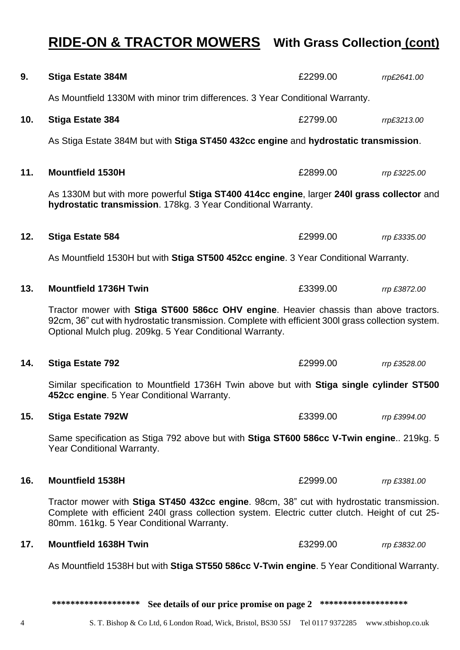# **RIDE-ON & TRACTOR MOWERS With Grass Collection (cont)**

| 9.  | <b>Stiga Estate 384M</b>                                                                                                                                                                                                                                | £2299.00 | rrp£2641.00  |  |
|-----|---------------------------------------------------------------------------------------------------------------------------------------------------------------------------------------------------------------------------------------------------------|----------|--------------|--|
|     | As Mountfield 1330M with minor trim differences. 3 Year Conditional Warranty.                                                                                                                                                                           |          |              |  |
| 10. | <b>Stiga Estate 384</b>                                                                                                                                                                                                                                 | £2799.00 | rrp£3213.00  |  |
|     | As Stiga Estate 384M but with Stiga ST450 432cc engine and hydrostatic transmission.                                                                                                                                                                    |          |              |  |
| 11. | <b>Mountfield 1530H</b>                                                                                                                                                                                                                                 | £2899.00 | rrp £3225.00 |  |
|     | As 1330M but with more powerful Stiga ST400 414cc engine, larger 240I grass collector and<br>hydrostatic transmission. 178kg. 3 Year Conditional Warranty.                                                                                              |          |              |  |
| 12. | <b>Stiga Estate 584</b>                                                                                                                                                                                                                                 | £2999.00 | rrp £3335.00 |  |
|     | As Mountfield 1530H but with Stiga ST500 452cc engine. 3 Year Conditional Warranty.                                                                                                                                                                     |          |              |  |
| 13. | <b>Mountfield 1736H Twin</b>                                                                                                                                                                                                                            | £3399.00 | rrp £3872.00 |  |
|     | Tractor mower with Stiga ST600 586cc OHV engine. Heavier chassis than above tractors.<br>92cm, 36" cut with hydrostatic transmission. Complete with efficient 300I grass collection system.<br>Optional Mulch plug. 209kg. 5 Year Conditional Warranty. |          |              |  |
| 14. | <b>Stiga Estate 792</b>                                                                                                                                                                                                                                 | £2999.00 | rrp £3528.00 |  |
|     | Similar specification to Mountfield 1736H Twin above but with Stiga single cylinder ST500<br>452cc engine. 5 Year Conditional Warranty.                                                                                                                 |          |              |  |
| 15. | <b>Stiga Estate 792W</b>                                                                                                                                                                                                                                | £3399.00 | rrp £3994.00 |  |
|     | Same specification as Stiga 792 above but with Stiga ST600 586cc V-Twin engine 219kg. 5<br>Year Conditional Warranty.                                                                                                                                   |          |              |  |
| 16. | <b>Mountfield 1538H</b>                                                                                                                                                                                                                                 | £2999.00 | rrp £3381.00 |  |
|     | Tractor mower with Stiga ST450 432cc engine. 98cm, 38" cut with hydrostatic transmission.<br>Complete with efficient 240I grass collection system. Electric cutter clutch. Height of cut 25-<br>80mm. 161kg. 5 Year Conditional Warranty.               |          |              |  |
| 17. | <b>Mountfield 1638H Twin</b>                                                                                                                                                                                                                            | £3299.00 | rrp £3832.00 |  |
|     | As Mountfield 1538H but with Stiga ST550 586cc V-Twin engine. 5 Year Conditional Warranty.                                                                                                                                                              |          |              |  |
|     |                                                                                                                                                                                                                                                         |          |              |  |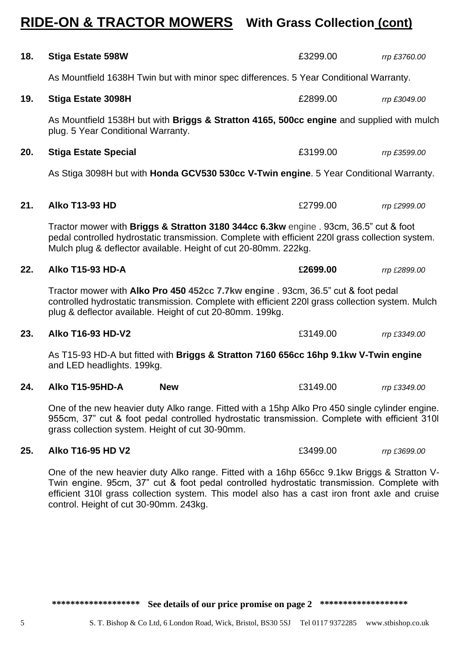\*\*\*\*\*\*\*\*\*\*\*\*\*\*\*\*\*\*\* See details of our price promise on page 2 \*\*\*\*\*\*\*\*\*\*\*\*\*\*\*\*\*\*\*

# **RIDE-ON & TRACTOR MOWERS With Grass Collection (cont)**

| 18. | <b>Stiga Estate 598W</b>                                                                                                                                                                                                                                     |            | £3299.00                                                                                                                                                                                         | rrp £3760.00 |
|-----|--------------------------------------------------------------------------------------------------------------------------------------------------------------------------------------------------------------------------------------------------------------|------------|--------------------------------------------------------------------------------------------------------------------------------------------------------------------------------------------------|--------------|
|     | As Mountfield 1638H Twin but with minor spec differences. 5 Year Conditional Warranty.                                                                                                                                                                       |            |                                                                                                                                                                                                  |              |
| 19. | <b>Stiga Estate 3098H</b>                                                                                                                                                                                                                                    |            | £2899.00                                                                                                                                                                                         | rrp £3049.00 |
|     | plug. 5 Year Conditional Warranty.                                                                                                                                                                                                                           |            | As Mountfield 1538H but with Briggs & Stratton 4165, 500cc engine and supplied with mulch                                                                                                        |              |
| 20. | <b>Stiga Estate Special</b>                                                                                                                                                                                                                                  |            | £3199.00                                                                                                                                                                                         | rrp £3599.00 |
|     |                                                                                                                                                                                                                                                              |            | As Stiga 3098H but with Honda GCV530 530cc V-Twin engine. 5 Year Conditional Warranty.                                                                                                           |              |
| 21. | <b>Alko T13-93 HD</b>                                                                                                                                                                                                                                        |            | £2799.00                                                                                                                                                                                         | rrp £2999.00 |
|     | Tractor mower with Briggs & Stratton 3180 344cc 6.3kw engine . 93cm, 36.5" cut & foot<br>pedal controlled hydrostatic transmission. Complete with efficient 220I grass collection system.<br>Mulch plug & deflector available. Height of cut 20-80mm. 222kg. |            |                                                                                                                                                                                                  |              |
| 22. | <b>Alko T15-93 HD-A</b>                                                                                                                                                                                                                                      |            | £2699.00                                                                                                                                                                                         | rrp £2899.00 |
|     | Tractor mower with Alko Pro 450 452cc 7.7kw engine . 93cm, 36.5" cut & foot pedal<br>controlled hydrostatic transmission. Complete with efficient 220I grass collection system. Mulch<br>plug & deflector available. Height of cut 20-80mm. 199kg.           |            |                                                                                                                                                                                                  |              |
| 23. | Alko T16-93 HD-V2                                                                                                                                                                                                                                            |            | £3149.00                                                                                                                                                                                         | rrp £3349.00 |
|     | and LED headlights. 199kg.                                                                                                                                                                                                                                   |            | As T15-93 HD-A but fitted with Briggs & Stratton 7160 656cc 16hp 9.1kw V-Twin engine                                                                                                             |              |
| 24. | Alko T15-95HD-A                                                                                                                                                                                                                                              | <b>New</b> | £3149.00                                                                                                                                                                                         | rrp £3349.00 |
|     | grass collection system. Height of cut 30-90mm.                                                                                                                                                                                                              |            | One of the new heavier duty Alko range. Fitted with a 15hp Alko Pro 450 single cylinder engine.<br>955cm, 37" cut & foot pedal controlled hydrostatic transmission. Complete with efficient 310I |              |
| 25. | <b>Alko T16-95 HD V2</b>                                                                                                                                                                                                                                     |            | £3499.00                                                                                                                                                                                         | rrp £3699.00 |

One of the new heavier duty Alko range. Fitted with a 16hp 656cc 9.1kw Briggs & Stratton V-Twin engine. 95cm, 37" cut & foot pedal controlled hydrostatic transmission. Complete with efficient 310l grass collection system. This model also has a cast iron front axle and cruise control. Height of cut 30-90mm. 243kg.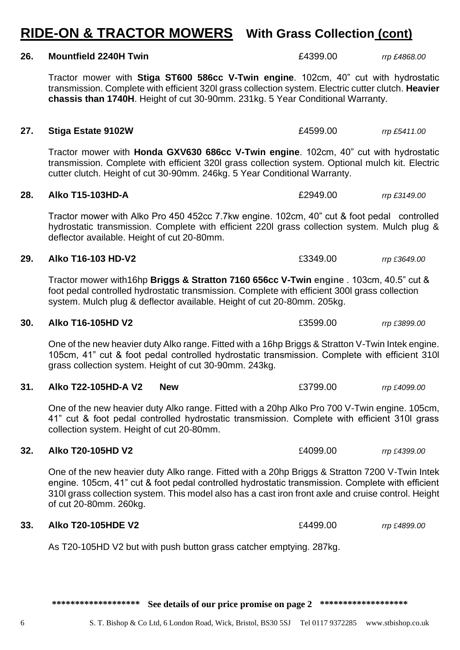# **RIDE-ON & TRACTOR MOWERS With Grass Collection (cont)**

### **26. Mountfield 2240H Twin** £4399.00 *rrp £4868.00*

Tractor mower with **Stiga ST600 586cc V-Twin engine**. 102cm, 40" cut with hydrostatic transmission. Complete with efficient 320l grass collection system. Electric cutter clutch. **Heavier chassis than 1740H**. Height of cut 30-90mm. 231kg. 5 Year Conditional Warranty.

### **27. Stiga Estate 9102W** £4599.00 *rrp £5411.00*

Tractor mower with **Honda GXV630 686cc V-Twin engine**. 102cm, 40" cut with hydrostatic transmission. Complete with efficient 320l grass collection system. Optional mulch kit. Electric cutter clutch. Height of cut 30-90mm. 246kg. 5 Year Conditional Warranty.

### **28. Alko T15-103HD-A** £2949.00 *rrp £3149.00*

Tractor mower with Alko Pro 450 452cc 7.7kw engine. 102cm, 40" cut & foot pedal controlled hydrostatic transmission. Complete with efficient 220l grass collection system. Mulch plug & deflector available. Height of cut 20-80mm.

### **29. Alko T16-103 HD-V2** £3349.00 *rrp £3649.00*

Tractor mower with16hp **Briggs & Stratton 7160 656cc V-Twin engine** . 103cm, 40.5" cut & foot pedal controlled hydrostatic transmission. Complete with efficient 300l grass collection system. Mulch plug & deflector available. Height of cut 20-80mm. 205kg.

### **30. Alko T16-105HD V2** £3599.00 *rrp £3899.00*

One of the new heavier duty Alko range. Fitted with a 16hp Briggs & Stratton V-Twin Intek engine. 105cm, 41" cut & foot pedal controlled hydrostatic transmission. Complete with efficient 310l grass collection system. Height of cut 30-90mm. 243kg.

### **31. Alko T22-105HD-A V2 New** £3799.00 *rrp £4099.00*

One of the new heavier duty Alko range. Fitted with a 20hp Alko Pro 700 V-Twin engine. 105cm, 41" cut & foot pedal controlled hydrostatic transmission. Complete with efficient 310l grass collection system. Height of cut 20-80mm.

### **32. Alko T20-105HD V2** £4099.00 *rrp £4399.00*

One of the new heavier duty Alko range. Fitted with a 20hp Briggs & Stratton 7200 V-Twin Intek engine. 105cm, 41" cut & foot pedal controlled hydrostatic transmission. Complete with efficient 310l grass collection system. This model also has a cast iron front axle and cruise control. Height of cut 20-80mm. 260kg.

### **33. Alko T20-105HDE V2**  $\qquad 20$   $\qquad$  *f*4499.00 *rrp £4899.00*

As T20-105HD V2 but with push button grass catcher emptying. 287kg.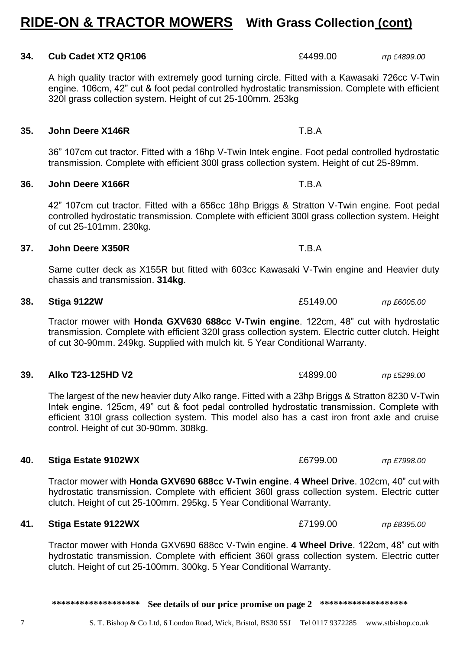# **RIDE-ON & TRACTOR MOWERS With Grass Collection (cont)**

### **34. Cub Cadet XT2 QR106** £4499.00 *rrp £4899.00*

A high quality tractor with extremely good turning circle. Fitted with a Kawasaki 726cc V-Twin engine. 106cm, 42" cut & foot pedal controlled hydrostatic transmission. Complete with efficient 320l grass collection system. Height of cut 25-100mm. 253kg

### **35. John Deere X146R** T.B.A

36" 107cm cut tractor. Fitted with a 16hp V-Twin Intek engine. Foot pedal controlled hydrostatic transmission. Complete with efficient 300l grass collection system. Height of cut 25-89mm.

### **36. John Deere X166R** T.B.A

42" 107cm cut tractor. Fitted with a 656cc 18hp Briggs & Stratton V-Twin engine. Foot pedal controlled hydrostatic transmission. Complete with efficient 300l grass collection system. Height of cut 25-101mm. 230kg.

### **37. John Deere X350R** T.B.A

Same cutter deck as X155R but fitted with 603cc Kawasaki V-Twin engine and Heavier duty chassis and transmission. **314kg**.

Tractor mower with **Honda GXV630 688cc V-Twin engine**. 122cm, 48" cut with hydrostatic transmission. Complete with efficient 320l grass collection system. Electric cutter clutch. Height of cut 30-90mm. 249kg. Supplied with mulch kit. 5 Year Conditional Warranty.

### **39. Alko T23-125HD V2** £4899.00 *rrp £5299.00*

The largest of the new heavier duty Alko range. Fitted with a 23hp Briggs & Stratton 8230 V-Twin Intek engine. 125cm, 49" cut & foot pedal controlled hydrostatic transmission. Complete with efficient 310l grass collection system. This model also has a cast iron front axle and cruise control. Height of cut 30-90mm. 308kg.

### **40. Stiga Estate 9102WX** £6799.00 *rrp £7998.00*

Tractor mower with **Honda GXV690 688cc V-Twin engine**. **4 Wheel Drive**. 102cm, 40" cut with hydrostatic transmission. Complete with efficient 360l grass collection system. Electric cutter clutch. Height of cut 25-100mm. 295kg. 5 Year Conditional Warranty.

### **41. Stiga Estate 9122WX** £7199.00 *rrp £8395.00*

Tractor mower with Honda GXV690 688cc V-Twin engine. **4 Wheel Drive**. 122cm, 48" cut with hydrostatic transmission. Complete with efficient 360l grass collection system. Electric cutter clutch. Height of cut 25-100mm. 300kg. 5 Year Conditional Warranty.

\*\*\*\*\*\*\*\*\*\*\*\*\*\*\*\*\*\*\* See details of our price promise on page 2 \*\*\*\*\*\*\*\*\*\*\*\*\*\*\*\*\*\*\*

**38. Stiga 9122W** £5149.00 *rrp £6005.00*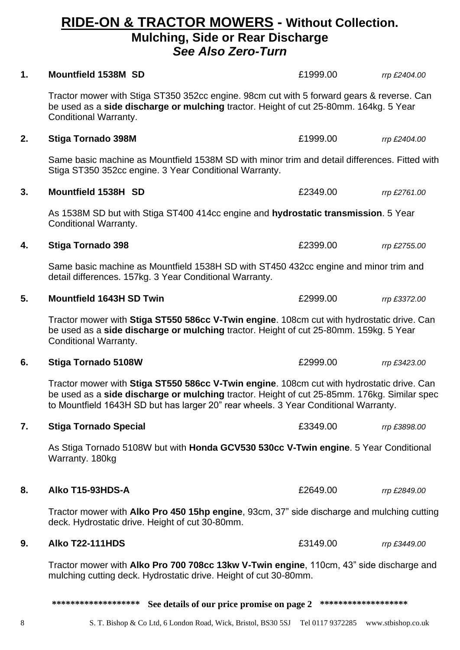### 8 S. T. Bishop & Co Ltd, 6 London Road, Wick, Bristol, BS30 5SJ Tel 0117 9372285 www.stbishop.co.uk

| $\mathbf 1$ . | <b>Mountfield 1538M SD</b>                                                                                                                                                                                                                                                      | £1999.00            | rrp £2404.00 |  |
|---------------|---------------------------------------------------------------------------------------------------------------------------------------------------------------------------------------------------------------------------------------------------------------------------------|---------------------|--------------|--|
|               | Tractor mower with Stiga ST350 352cc engine. 98cm cut with 5 forward gears & reverse. Can<br>be used as a <b>side discharge or mulching</b> tractor. Height of cut 25-80mm. 164kg. 5 Year<br>Conditional Warranty.                                                              |                     |              |  |
| 2.            | <b>Stiga Tornado 398M</b>                                                                                                                                                                                                                                                       | £1999.00            | rrp £2404.00 |  |
|               | Same basic machine as Mountfield 1538M SD with minor trim and detail differences. Fitted with<br>Stiga ST350 352cc engine. 3 Year Conditional Warranty.                                                                                                                         |                     |              |  |
| 3.            | Mountfield 1538H SD                                                                                                                                                                                                                                                             | £2349.00            | rrp £2761.00 |  |
|               | As 1538M SD but with Stiga ST400 414cc engine and hydrostatic transmission. 5 Year<br>Conditional Warranty.                                                                                                                                                                     |                     |              |  |
| 4.            | <b>Stiga Tornado 398</b>                                                                                                                                                                                                                                                        | £2399.00            | rrp £2755.00 |  |
|               | Same basic machine as Mountfield 1538H SD with ST450 432cc engine and minor trim and<br>detail differences. 157kg. 3 Year Conditional Warranty.                                                                                                                                 |                     |              |  |
| 5.            | <b>Mountfield 1643H SD Twin</b>                                                                                                                                                                                                                                                 | £2999.00            | rrp £3372.00 |  |
|               | Tractor mower with Stiga ST550 586cc V-Twin engine. 108cm cut with hydrostatic drive. Can<br>be used as a side discharge or mulching tractor. Height of cut 25-80mm. 159kg. 5 Year<br>Conditional Warranty.                                                                     |                     |              |  |
| 6.            | <b>Stiga Tornado 5108W</b>                                                                                                                                                                                                                                                      | £2999.00            | rrp £3423.00 |  |
|               | Tractor mower with Stiga ST550 586cc V-Twin engine. 108cm cut with hydrostatic drive. Can<br>be used as a side discharge or mulching tractor. Height of cut 25-85mm. 176kg. Similar spec<br>to Mountfield 1643H SD but has larger 20" rear wheels. 3 Year Conditional Warranty. |                     |              |  |
| 7.            | <b>Stiga Tornado Special</b>                                                                                                                                                                                                                                                    | £3349.00            | rrp £3898.00 |  |
|               | As Stiga Tornado 5108W but with <b>Honda GCV530 530cc V-Twin engine</b> . 5 Year Conditional<br>Warranty. 180kg                                                                                                                                                                 |                     |              |  |
| 8.            | Alko T15-93HDS-A                                                                                                                                                                                                                                                                | £2649.00            | rrp £2849.00 |  |
|               | Tractor mower with Alko Pro 450 15hp engine, 93cm, 37" side discharge and mulching cutting<br>deck. Hydrostatic drive. Height of cut 30-80mm.                                                                                                                                   |                     |              |  |
| 9.            | <b>Alko T22-111HDS</b>                                                                                                                                                                                                                                                          | £3149.00            | rrp £3449.00 |  |
|               | Tractor mower with Alko Pro 700 708cc 13kw V-Twin engine, 110cm, 43" side discharge and<br>mulching cutting deck. Hydrostatic drive. Height of cut 30-80mm.                                                                                                                     |                     |              |  |
|               | See details of our price promise on page 2<br>******************                                                                                                                                                                                                                | ******************* |              |  |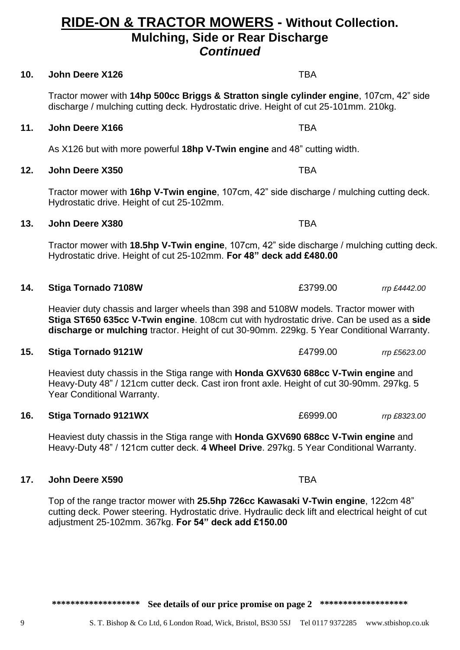### **10. John Deere X126 TBA**

Tractor mower with **14hp 500cc Briggs & Stratton single cylinder engine**, 107cm, 42" side discharge / mulching cutting deck. Hydrostatic drive. Height of cut 25-101mm. 210kg.

### **11. John Deere X166 TBA**

As X126 but with more powerful **18hp V-Twin engine** and 48" cutting width.

# **12. John Deere X350** TBA

Tractor mower with **16hp V-Twin engine**, 107cm, 42" side discharge / mulching cutting deck. Hydrostatic drive. Height of cut 25-102mm.

# **13. John Deere X380** TBA

Tractor mower with **18.5hp V-Twin engine**, 107cm, 42" side discharge / mulching cutting deck. Hydrostatic drive. Height of cut 25-102mm. **For 48" deck add £480.00**

### **14. Stiga Tornado 7108W** £3799.00 *rrp £4442.00*

Heavier duty chassis and larger wheels than 398 and 5108W models. Tractor mower with **Stiga ST650 635cc V-Twin engine**. 108cm cut with hydrostatic drive. Can be used as a **side discharge or mulching** tractor. Height of cut 30-90mm. 229kg. 5 Year Conditional Warranty.

### **15. Stiga Tornado 9121W** £4799.00 *rrp £5623.00*

Heaviest duty chassis in the Stiga range with **Honda GXV630 688cc V-Twin engine** and Heavy-Duty 48" / 121cm cutter deck. Cast iron front axle. Height of cut 30-90mm. 297kg. 5 Year Conditional Warranty.

### **16. Stiga Tornado 9121WX**  $£6999.00$  *rrp £8323.00*

Heaviest duty chassis in the Stiga range with **Honda GXV690 688cc V-Twin engine** and Heavy-Duty 48" / 121cm cutter deck. **4 Wheel Drive**. 297kg. 5 Year Conditional Warranty.

# **17. John Deere X590** TBA

Top of the range tractor mower with **25.5hp 726cc Kawasaki V-Twin engine**, 122cm 48" cutting deck. Power steering. Hydrostatic drive. Hydraulic deck lift and electrical height of cut adjustment 25-102mm. 367kg. **For 54" deck add £150.00**

\*\*\*\*\*\*\*\*\*\*\*\*\*\*\*\*\*\*\* See details of our price promise on page 2 \*\*\*\*\*\*\*\*\*\*\*\*\*\*\*\*\*\*

# **RIDE-ON & TRACTOR MOWERS - Without Collection.**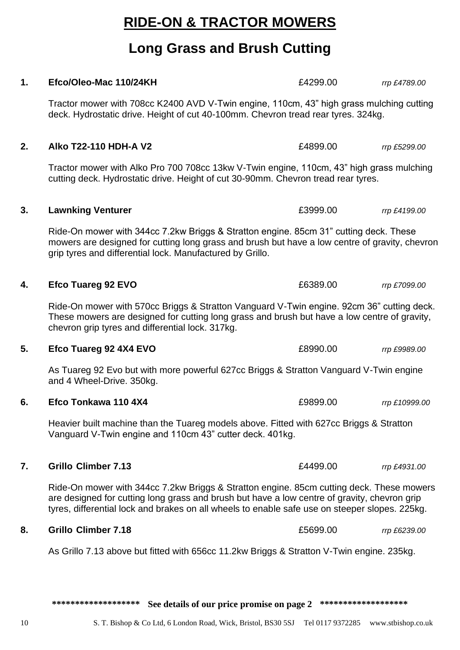\*\*\*\*\*\*\*\*\*\*\*\*\*\*\*\*\*\*\* See details of our price promise on page 2 \*\*\*\*\*\*\*\*\*\*\*\*\*\*\*\*\*\*

# **RIDE-ON & TRACTOR MOWERS**

# **Long Grass and Brush Cutting**

Tractor mower with 708cc K2400 AVD V-Twin engine, 110cm, 43" high grass mulching cutting

**1. Efco/Oleo-Mac 110/24KH** £4299.00 *rrp £4789.00*

# deck. Hydrostatic drive. Height of cut 40-100mm. Chevron tread rear tyres. 324kg. **2. Alko T22-110 HDH-A V2** *E4899.00**rrp £5299.00* Tractor mower with Alko Pro 700 708cc 13kw V-Twin engine, 110cm, 43" high grass mulching cutting deck. Hydrostatic drive. Height of cut 30-90mm. Chevron tread rear tyres. **3. Lawnking Venturer 1988 1989 1989 23999.00** *rrp £4199.00* Ride-On mower with 344cc 7.2kw Briggs & Stratton engine. 85cm 31" cutting deck. These mowers are designed for cutting long grass and brush but have a low centre of gravity, chevron grip tyres and differential lock. Manufactured by Grillo. **4. Efco Tuareg 92 EVO Example 20 Example 20 E6389.00** *rrp £7099.00* Ride-On mower with 570cc Briggs & Stratton Vanguard V-Twin engine. 92cm 36" cutting deck. These mowers are designed for cutting long grass and brush but have a low centre of gravity, chevron grip tyres and differential lock. 317kg. **5. Efco Tuareg 92 4X4 EVO**  $£8990.00$  *rrp £9989.00* As Tuareg 92 Evo but with more powerful 627cc Briggs & Stratton Vanguard V-Twin engine and 4 Wheel-Drive. 350kg. **6. Efco Tonkawa 110 4X4** £9899.00 *rrp £10999.00* Heavier built machine than the Tuareg models above. Fitted with 627cc Briggs & Stratton Vanguard V-Twin engine and 110cm 43" cutter deck. 401kg. **7. Grillo Climber 7.13** £4499.00 *rrp £4931.00* Ride-On mower with 344cc 7.2kw Briggs & Stratton engine. 85cm cutting deck. These mowers are designed for cutting long grass and brush but have a low centre of gravity, chevron grip tyres, differential lock and brakes on all wheels to enable safe use on steeper slopes. 225kg. **8. Grillo Climber 7.18** £5699.00 *rrp £6239.00* As Grillo 7.13 above but fitted with 656cc 11.2kw Briggs & Stratton V-Twin engine. 235kg.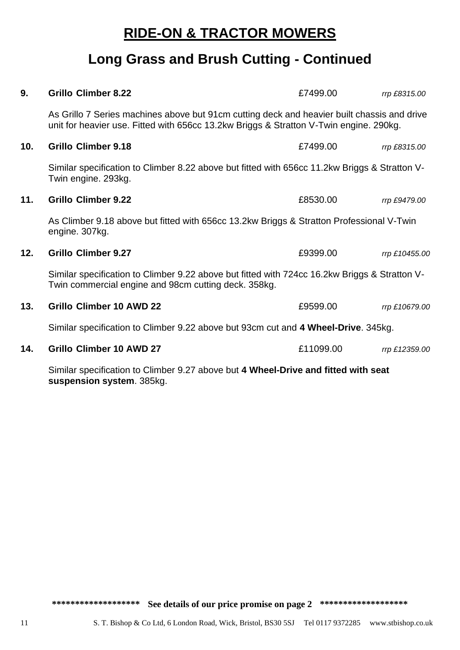# **RIDE-ON & TRACTOR MOWERS**

# **Long Grass and Brush Cutting - Continued**

| 9.  | <b>Grillo Climber 8.22</b>                                                                                                                                                            | £7499.00  | rrp £8315.00  |
|-----|---------------------------------------------------------------------------------------------------------------------------------------------------------------------------------------|-----------|---------------|
|     | As Grillo 7 Series machines above but 91cm cutting deck and heavier built chassis and drive<br>unit for heavier use. Fitted with 656cc 13.2kw Briggs & Stratton V-Twin engine. 290kg. |           |               |
| 10. | <b>Grillo Climber 9.18</b>                                                                                                                                                            | £7499.00  | rrp £8315.00  |
|     | Similar specification to Climber 8.22 above but fitted with 656cc 11.2kw Briggs & Stratton V-<br>Twin engine. 293kg.                                                                  |           |               |
| 11. | <b>Grillo Climber 9.22</b>                                                                                                                                                            | £8530.00  | rrp £9479.00  |
|     | As Climber 9.18 above but fitted with 656cc 13.2kw Briggs & Stratton Professional V-Twin<br>engine. 307kg.                                                                            |           |               |
| 12. | <b>Grillo Climber 9.27</b>                                                                                                                                                            | £9399.00  | rrp £10455.00 |
|     | Similar specification to Climber 9.22 above but fitted with 724cc 16.2kw Briggs & Stratton V-<br>Twin commercial engine and 98cm cutting deck. 358kg.                                 |           |               |
| 13. | <b>Grillo Climber 10 AWD 22</b>                                                                                                                                                       | £9599.00  | rrp £10679.00 |
|     | Similar specification to Climber 9.22 above but 93cm cut and 4 Wheel-Drive. 345kg.                                                                                                    |           |               |
| 14. | <b>Grillo Climber 10 AWD 27</b>                                                                                                                                                       | £11099.00 | rrp £12359.00 |
|     | Cimilar epocification to Climber 0.27 shows but A Whool Drive and fitted with coot                                                                                                    |           |               |

Similar specification to Climber 9.27 above but **4 Wheel-Drive and fitted with seat suspension system**. 385kg.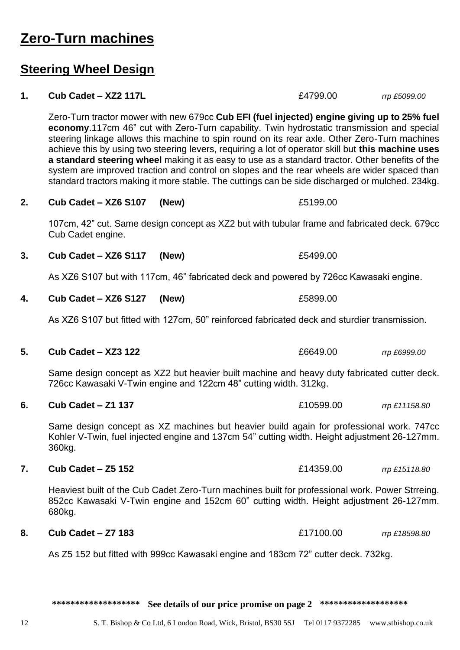# **Zero-Turn machines**

# **Steering Wheel Design**

1. **Cub Cadet – XZ2 117L 1. Cub Cadet – XZ2 117L 1. E4799.00** *rrp £5099.00* 

Zero-Turn tractor mower with new 679cc **Cub EFI (fuel injected) engine giving up to 25% fuel economy**.117cm 46" cut with Zero-Turn capability. Twin hydrostatic transmission and special steering linkage allows this machine to spin round on its rear axle. Other Zero-Turn machines achieve this by using two steering levers, requiring a lot of operator skill but **this machine uses a standard steering wheel** making it as easy to use as a standard tractor. Other benefits of the system are improved traction and control on slopes and the rear wheels are wider spaced than standard tractors making it more stable. The cuttings can be side discharged or mulched. 234kg.

**2. Cub Cadet – XZ6 S107 (New)** £5199.00

107cm, 42" cut. Same design concept as XZ2 but with tubular frame and fabricated deck. 679cc Cub Cadet engine.

**3. Cub Cadet – XZ6 S117 (New)** £5499.00

As XZ6 S107 but with 117cm, 46" fabricated deck and powered by 726cc Kawasaki engine.

As XZ6 S107 but fitted with 127cm, 50" reinforced fabricated deck and sturdier transmission.

Same design concept as XZ2 but heavier built machine and heavy duty fabricated cutter deck.

Same design concept as XZ machines but heavier build again for professional work. 747cc Kohler V-Twin, fuel injected engine and 137cm 54" cutting width. Height adjustment 26-127mm.

Heaviest built of the Cub Cadet Zero-Turn machines built for professional work. Power Strreing. 852cc Kawasaki V-Twin engine and 152cm 60" cutting width. Height adjustment 26-127mm.

As Z5 152 but fitted with 999cc Kawasaki engine and 183cm 72" cutter deck. 732kg.

\*\*\*\*\*\*\*\*\*\*\*\*\*\*\*\*\*\*\* See details of our price promise on page 2 \*\*\*\*\*\*\*\*\*\*\*\*\*\*\*\*\*\*\* **4. Cub Cadet – XZ6 S127 (New)** £5899.00 **5. Cub Cadet – XZ3 122** £6649.00 *rrp £6999.00* 726cc Kawasaki V-Twin engine and 122cm 48" cutting width. 312kg. **6. Cub Cadet – Z1 137** £10599.00 *rrp £11158.80* 360kg. **7. Cub Cadet – Z5 152** £14359.00 *rrp £15118.80* 680kg. **8. Cub Cadet – Z7 183** £17100.00 *rrp £18598.80*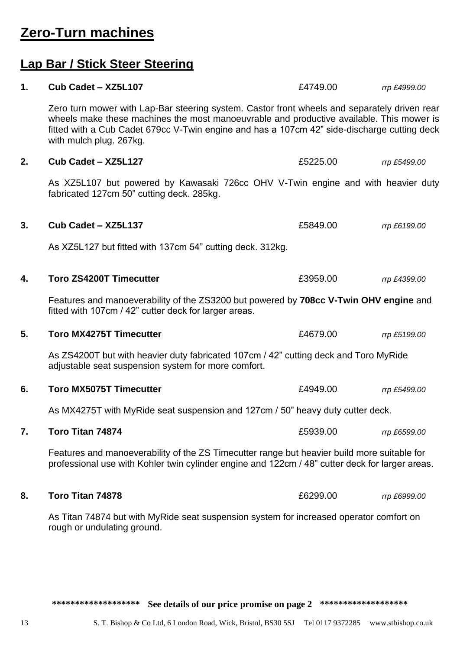# **Zero-Turn machines**

# **Lap Bar / Stick Steer Steering**

| 1.                                                                                                                     | Cub Cadet - XZ5L107                                                                                                                                                                                                                                                                                                | £4749.00 | rrp £4999.00 |  |
|------------------------------------------------------------------------------------------------------------------------|--------------------------------------------------------------------------------------------------------------------------------------------------------------------------------------------------------------------------------------------------------------------------------------------------------------------|----------|--------------|--|
|                                                                                                                        | Zero turn mower with Lap-Bar steering system. Castor front wheels and separately driven rear<br>wheels make these machines the most manoeuvrable and productive available. This mower is<br>fitted with a Cub Cadet 679cc V-Twin engine and has a 107cm 42" side-discharge cutting deck<br>with mulch plug. 267kg. |          |              |  |
| 2.                                                                                                                     | Cub Cadet - XZ5L127                                                                                                                                                                                                                                                                                                | £5225.00 | rrp £5499.00 |  |
|                                                                                                                        | As XZ5L107 but powered by Kawasaki 726cc OHV V-Twin engine and with heavier duty<br>fabricated 127cm 50" cutting deck. 285kg.                                                                                                                                                                                      |          |              |  |
| 3.                                                                                                                     | Cub Cadet - XZ5L137                                                                                                                                                                                                                                                                                                | £5849.00 | rrp £6199.00 |  |
|                                                                                                                        | As XZ5L127 but fitted with 137cm 54" cutting deck. 312kg.                                                                                                                                                                                                                                                          |          |              |  |
| 4.                                                                                                                     | <b>Toro ZS4200T Timecutter</b>                                                                                                                                                                                                                                                                                     | £3959.00 | rrp £4399.00 |  |
|                                                                                                                        | Features and manoeverability of the ZS3200 but powered by 708cc V-Twin OHV engine and<br>fitted with 107cm / 42" cutter deck for larger areas.                                                                                                                                                                     |          |              |  |
| 5.                                                                                                                     | <b>Toro MX4275T Timecutter</b>                                                                                                                                                                                                                                                                                     | £4679.00 | rrp £5199.00 |  |
|                                                                                                                        | As ZS4200T but with heavier duty fabricated 107cm / 42" cutting deck and Toro MyRide<br>adjustable seat suspension system for more comfort.                                                                                                                                                                        |          |              |  |
| 6.                                                                                                                     | <b>Toro MX5075T Timecutter</b>                                                                                                                                                                                                                                                                                     | £4949.00 | rrp £5499.00 |  |
|                                                                                                                        | As MX4275T with MyRide seat suspension and 127cm / 50" heavy duty cutter deck.                                                                                                                                                                                                                                     |          |              |  |
| 7.                                                                                                                     | Toro Titan 74874                                                                                                                                                                                                                                                                                                   | £5939.00 | rrp £6599.00 |  |
|                                                                                                                        | Features and manoeverability of the ZS Timecutter range but heavier build more suitable for<br>professional use with Kohler twin cylinder engine and 122cm / 48" cutter deck for larger areas.                                                                                                                     |          |              |  |
| 8.                                                                                                                     | Toro Titan 74878                                                                                                                                                                                                                                                                                                   | £6299.00 | rrp £6999.00 |  |
| As Titan 74874 but with MyRide seat suspension system for increased operator comfort on<br>rough or undulating ground. |                                                                                                                                                                                                                                                                                                                    |          |              |  |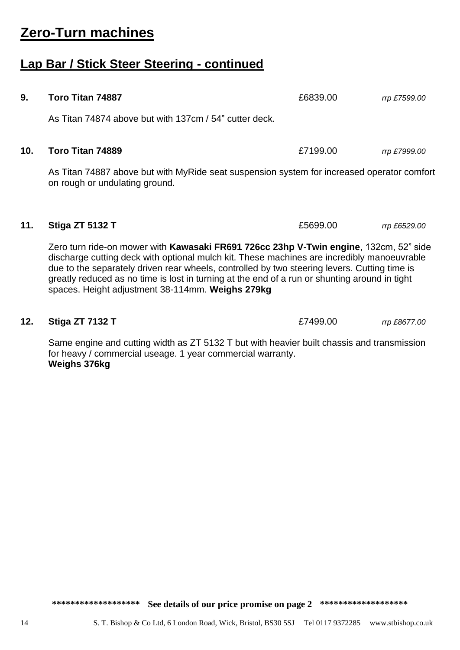### \*\*\*\*\*\*\*\*\*\*\*\*\*\*\*\*\*\*\* See details of our price promise on page 2 \*\*\*\*\*\*\*\*\*\*\*\*\*\*\*\*\*\*

# **Zero-Turn machines**

# **Lap Bar / Stick Steer Steering - continued**

**9. Toro Titan 74887** £6839.00 *rrp £7599.00* As Titan 74874 above but with 137cm / 54" cutter deck. **10. Toro Titan 74889** £7199.00 *rrp £7999.00* As Titan 74887 above but with MyRide seat suspension system for increased operator comfort on rough or undulating ground. **11. Stiga ZT 5132 T**  $\qquad \qquad$  £5699.00 *rrp £6529.00* Zero turn ride-on mower with **Kawasaki FR691 726cc 23hp V-Twin engine**, 132cm, 52" side discharge cutting deck with optional mulch kit. These machines are incredibly manoeuvrable

due to the separately driven rear wheels, controlled by two steering levers. Cutting time is greatly reduced as no time is lost in turning at the end of a run or shunting around in tight spaces. Height adjustment 38-114mm. **Weighs 279kg**

### Same engine and cutting width as ZT 5132 T but with heavier built chassis and transmission for heavy / commercial useage. 1 year commercial warranty. **Weighs 376kg**

**12. Stiga ZT 7132 T**  $E7499.00$  *rrp £8677.00*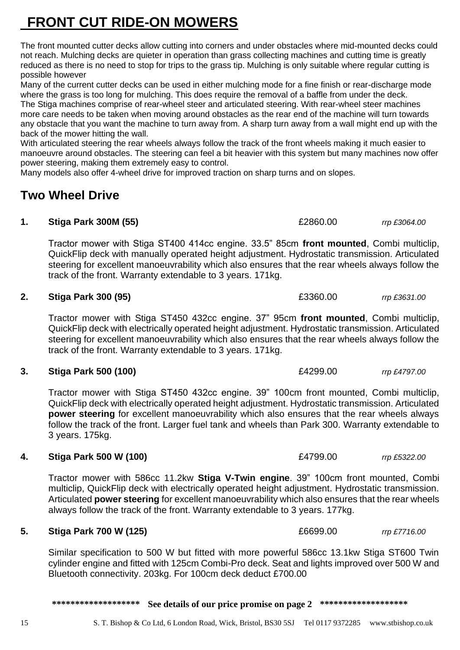# **FRONT CUT RIDE-ON MOWERS**

The front mounted cutter decks allow cutting into corners and under obstacles where mid-mounted decks could not reach. Mulching decks are quieter in operation than grass collecting machines and cutting time is greatly reduced as there is no need to stop for trips to the grass tip. Mulching is only suitable where regular cutting is possible however

Many of the current cutter decks can be used in either mulching mode for a fine finish or rear-discharge mode where the grass is too long for mulching. This does require the removal of a baffle from under the deck. The Stiga machines comprise of rear-wheel steer and articulated steering. With rear-wheel steer machines more care needs to be taken when moving around obstacles as the rear end of the machine will turn towards any obstacle that you want the machine to turn away from. A sharp turn away from a wall might end up with the back of the mower hitting the wall.

With articulated steering the rear wheels always follow the track of the front wheels making it much easier to manoeuvre around obstacles. The steering can feel a bit heavier with this system but many machines now offer power steering, making them extremely easy to control.

Many models also offer 4-wheel drive for improved traction on sharp turns and on slopes.

# **Two Wheel Drive**

# **1. Stiga Park 300M (55)** £2860.00 *rrp £3064.00*

Tractor mower with Stiga ST400 414cc engine. 33.5" 85cm **front mounted**, Combi multiclip, QuickFlip deck with manually operated height adjustment. Hydrostatic transmission. Articulated steering for excellent manoeuvrability which also ensures that the rear wheels always follow the track of the front. Warranty extendable to 3 years. 171kg.

# **2. Stiga Park 300 (95)** £3360.00 *rrp £3631.00*

Tractor mower with Stiga ST450 432cc engine. 37" 95cm **front mounted**, Combi multiclip, QuickFlip deck with electrically operated height adjustment. Hydrostatic transmission. Articulated steering for excellent manoeuvrability which also ensures that the rear wheels always follow the track of the front. Warranty extendable to 3 years. 171kg.

# **3. Stiga Park 500 (100)** £4299.00 *rrp £4797.00*

Tractor mower with Stiga ST450 432cc engine. 39" 100cm front mounted, Combi multiclip, QuickFlip deck with electrically operated height adjustment. Hydrostatic transmission. Articulated **power steering** for excellent manoeuvrability which also ensures that the rear wheels always follow the track of the front. Larger fuel tank and wheels than Park 300. Warranty extendable to 3 years. 175kg.

# **4. Stiga Park 500 W (100)** £4799.00 *rrp £5322.00*

Tractor mower with 586cc 11.2kw **Stiga V-Twin engine**. 39" 100cm front mounted, Combi multiclip, QuickFlip deck with electrically operated height adjustment. Hydrostatic transmission. Articulated **power steering** for excellent manoeuvrability which also ensures that the rear wheels always follow the track of the front. Warranty extendable to 3 years. 177kg.

# **5. Stiga Park 700 W (125)** £6699.00 *rrp £7716.00*

Similar specification to 500 W but fitted with more powerful 586cc 13.1kw Stiga ST600 Twin cylinder engine and fitted with 125cm Combi-Pro deck. Seat and lights improved over 500 W and Bluetooth connectivity. 203kg. For 100cm deck deduct £700.00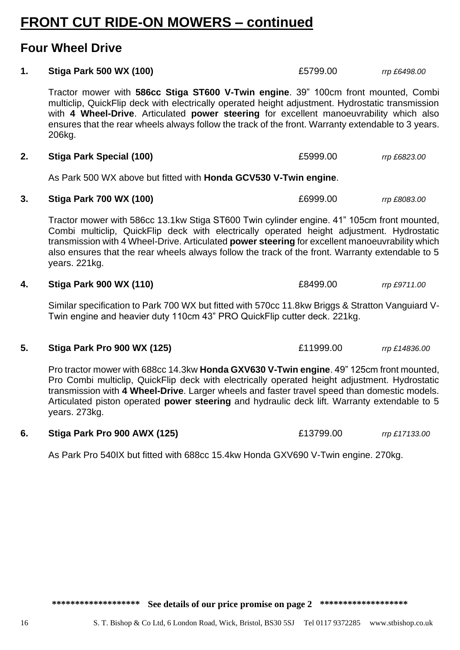# **FRONT CUT RIDE-ON MOWERS – continued**

# **Four Wheel Drive**

# **1. Stiga Park 500 WX (100)** £5799.00 *rrp £6498.00*

Tractor mower with **586cc Stiga ST600 V-Twin engine**. 39" 100cm front mounted, Combi multiclip, QuickFlip deck with electrically operated height adjustment. Hydrostatic transmission with **4 Wheel-Drive**. Articulated **power steering** for excellent manoeuvrability which also ensures that the rear wheels always follow the track of the front. Warranty extendable to 3 years. 206kg.

# **2. Stiga Park Special (100)** £5999.00 *rrp £6823.00*

As Park 500 WX above but fitted with **Honda GCV530 V-Twin engine**.

# **3. Stiga Park 700 WX (100) E6999.00** *rrp £8083.00 rrp £8083.00*

Tractor mower with 586cc 13.1kw Stiga ST600 Twin cylinder engine. 41" 105cm front mounted, Combi multiclip, QuickFlip deck with electrically operated height adjustment. Hydrostatic transmission with 4 Wheel-Drive. Articulated **power steering** for excellent manoeuvrability which also ensures that the rear wheels always follow the track of the front. Warranty extendable to 5 years. 221kg.

# **4. Stiga Park 900 WX (110)** £8499.00 *rrp £9711.00*

Similar specification to Park 700 WX but fitted with 570cc 11.8kw Briggs & Stratton Vanguiard V-Twin engine and heavier duty 110cm 43" PRO QuickFlip cutter deck. 221kg.

# **5. Stiga Park Pro 900 WX (125)** £11999.00 *rrp £14836.00*

Pro tractor mower with 688cc 14.3kw **Honda GXV630 V-Twin engine**. 49" 125cm front mounted, Pro Combi multiclip, QuickFlip deck with electrically operated height adjustment. Hydrostatic transmission with **4 Wheel-Drive**. Larger wheels and faster travel speed than domestic models. Articulated piston operated **power steering** and hydraulic deck lift. Warranty extendable to 5 years. 273kg.

# **6. Stiga Park Pro 900 AWX (125)** £13799.00 *rrp £17133.00*

As Park Pro 540IX but fitted with 688cc 15.4kw Honda GXV690 V-Twin engine. 270kg.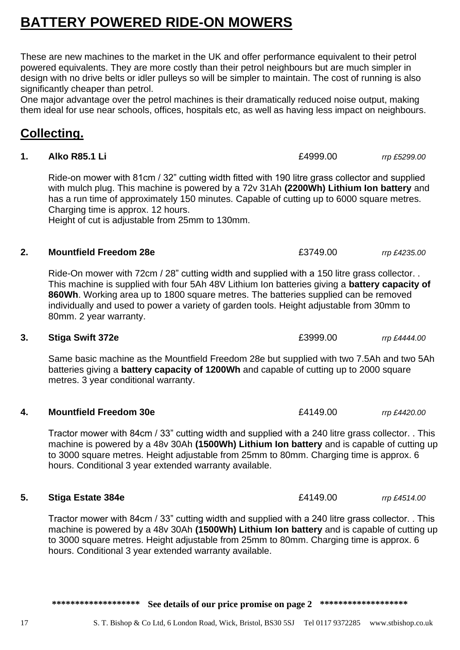# **BATTERY POWERED RIDE-ON MOWERS**

These are new machines to the market in the UK and offer performance equivalent to their petrol powered equivalents. They are more costly than their petrol neighbours but are much simpler in design with no drive belts or idler pulleys so will be simpler to maintain. The cost of running is also significantly cheaper than petrol.

One major advantage over the petrol machines is their dramatically reduced noise output, making them ideal for use near schools, offices, hospitals etc, as well as having less impact on neighbours.

# **Collecting.**

# **1. Alko R85.1 Li** *Alko* **R85.1 Li** *E4999.00**rrp £5299.00*

Ride-on mower with 81cm / 32" cutting width fitted with 190 litre grass collector and supplied with mulch plug. This machine is powered by a 72v 31Ah **(2200Wh) Lithium Ion battery** and has a run time of approximately 150 minutes. Capable of cutting up to 6000 square metres. Charging time is approx. 12 hours.

Height of cut is adjustable from 25mm to 130mm.

# **2. Mountfield Freedom 28e** £3749.00 *rrp £4235.00*

Ride-On mower with 72cm / 28" cutting width and supplied with a 150 litre grass collector. . This machine is supplied with four 5Ah 48V Lithium Ion batteries giving a **battery capacity of 860Wh**. Working area up to 1800 square metres. The batteries supplied can be removed individually and used to power a variety of garden tools. Height adjustable from 30mm to 80mm. 2 year warranty.

# **3. Stiga Swift 372e E3999.00** *rrp £4444.00*

Same basic machine as the Mountfield Freedom 28e but supplied with two 7.5Ah and two 5Ah batteries giving a **battery capacity of 1200Wh** and capable of cutting up to 2000 square metres. 3 year conditional warranty.

# **4. Mountfield Freedom 30e** £4149.00 *rrp £4420.00*

Tractor mower with 84cm / 33" cutting width and supplied with a 240 litre grass collector. . This machine is powered by a 48v 30Ah **(1500Wh) Lithium Ion battery** and is capable of cutting up to 3000 square metres. Height adjustable from 25mm to 80mm. Charging time is approx. 6 hours. Conditional 3 year extended warranty available.

# **5. Stiga Estate 384e** *E4149.00**rrp £4514.00*

Tractor mower with 84cm / 33" cutting width and supplied with a 240 litre grass collector. . This machine is powered by a 48v 30Ah **(1500Wh) Lithium Ion battery** and is capable of cutting up to 3000 square metres. Height adjustable from 25mm to 80mm. Charging time is approx. 6 hours. Conditional 3 year extended warranty available.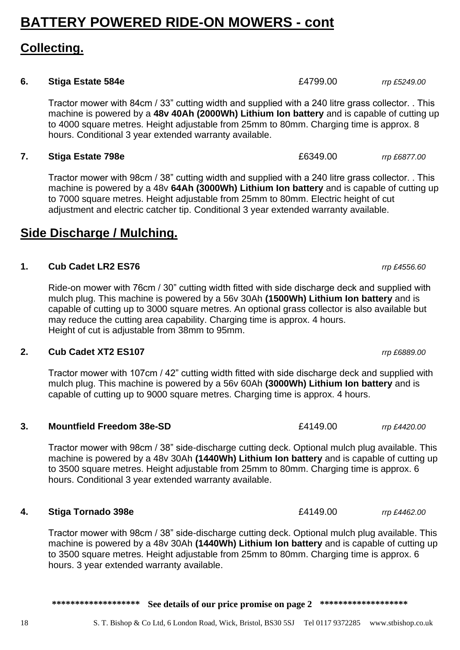# **Collecting.**

# **6. Stiga Estate 584e** *f***<sub>24799.00** *rrp £5249.00**rrp* **£5249.00**</sub>

Tractor mower with 84cm / 33" cutting width and supplied with a 240 litre grass collector. . This machine is powered by a **48v 40Ah (2000Wh) Lithium Ion battery** and is capable of cutting up to 4000 square metres. Height adjustable from 25mm to 80mm. Charging time is approx. 8 hours. Conditional 3 year extended warranty available.

# **7. Stiga Estate 798e** *rrp £6877.00**rrp £6877.00* **<b>***rrp £6877.00*

Tractor mower with 98cm / 38" cutting width and supplied with a 240 litre grass collector. . This machine is powered by a 48v **64Ah (3000Wh) Lithium Ion battery** and is capable of cutting up to 7000 square metres. Height adjustable from 25mm to 80mm. Electric height of cut adjustment and electric catcher tip. Conditional 3 year extended warranty available.

# **Side Discharge / Mulching.**

# **1. Cub Cadet LR2 ES76** *rrp £4556.60*

Ride-on mower with 76cm / 30" cutting width fitted with side discharge deck and supplied with mulch plug. This machine is powered by a 56v 30Ah **(1500Wh) Lithium Ion battery** and is capable of cutting up to 3000 square metres. An optional grass collector is also available but may reduce the cutting area capability. Charging time is approx. 4 hours. Height of cut is adjustable from 38mm to 95mm.

# **2. Cub Cadet XT2 ES107** *rrp £6889.00*

Tractor mower with 107cm / 42" cutting width fitted with side discharge deck and supplied with mulch plug. This machine is powered by a 56v 60Ah **(3000Wh) Lithium Ion battery** and is capable of cutting up to 9000 square metres. Charging time is approx. 4 hours.

### **3. Mountfield Freedom 38e-SD** £4149.00 *rrp £4420.00*

Tractor mower with 98cm / 38" side-discharge cutting deck. Optional mulch plug available. This machine is powered by a 48v 30Ah **(1440Wh) Lithium Ion battery** and is capable of cutting up to 3500 square metres. Height adjustable from 25mm to 80mm. Charging time is approx. 6 hours. Conditional 3 year extended warranty available.

# **4. Stiga Tornado 398e** £4149.00 *rrp £4462.00*

Tractor mower with 98cm / 38" side-discharge cutting deck. Optional mulch plug available. This machine is powered by a 48v 30Ah **(1440Wh) Lithium Ion battery** and is capable of cutting up to 3500 square metres. Height adjustable from 25mm to 80mm. Charging time is approx. 6 hours. 3 year extended warranty available.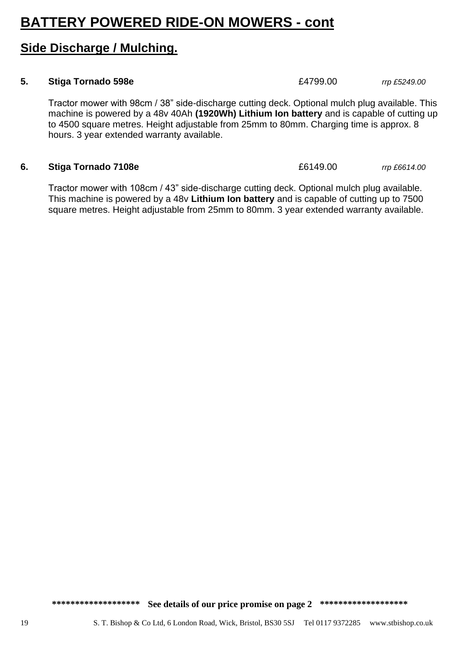# **Side Discharge / Mulching.**

### **5. Stiga Tornado 598e** *E4799.00**rrp £5249.00*

Tractor mower with 98cm / 38" side-discharge cutting deck. Optional mulch plug available. This machine is powered by a 48v 40Ah **(1920Wh) Lithium Ion battery** and is capable of cutting up to 4500 square metres. Height adjustable from 25mm to 80mm. Charging time is approx. 8 hours. 3 year extended warranty available.

### **6. Stiga Tornado 7108e** £6149.00 *rrp £6614.00*

Tractor mower with 108cm / 43" side-discharge cutting deck. Optional mulch plug available. This machine is powered by a 48v **Lithium Ion battery** and is capable of cutting up to 7500 square metres. Height adjustable from 25mm to 80mm. 3 year extended warranty available.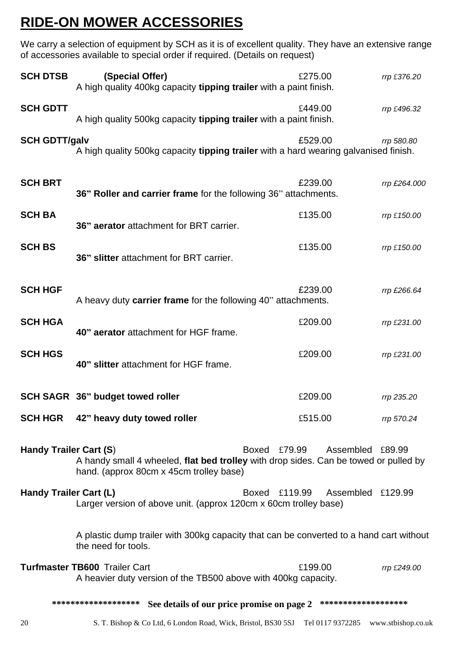# **RIDE-ON MOWER ACCESSORIES**

We carry a selection of equipment by SCH as it is of excellent quality. They have an extensive range of accessories available to special order if required. (Details on request)

| <b>SCH DTSB</b>                                                                                                                                                                               | (Special Offer)<br>A high quality 400kg capacity tipping trailer with a paint finish.                          | £275.00                 | rrp £376.20       |  |
|-----------------------------------------------------------------------------------------------------------------------------------------------------------------------------------------------|----------------------------------------------------------------------------------------------------------------|-------------------------|-------------------|--|
| <b>SCH GDTT</b>                                                                                                                                                                               | A high quality 500kg capacity tipping trailer with a paint finish.                                             | £449.00                 | rrp £496.32       |  |
| <b>SCH GDTT/galv</b>                                                                                                                                                                          | A high quality 500kg capacity tipping trailer with a hard wearing galvanised finish.                           | £529.00                 | rrp 580.80        |  |
| <b>SCH BRT</b>                                                                                                                                                                                | 36" Roller and carrier frame for the following 36" attachments.                                                | £239.00                 | rrp £264.000      |  |
| <b>SCH BA</b>                                                                                                                                                                                 | 36" aerator attachment for BRT carrier.                                                                        | £135.00                 | rrp £150.00       |  |
| <b>SCH BS</b>                                                                                                                                                                                 | 36" slitter attachment for BRT carrier.                                                                        | £135.00                 | rrp £150.00       |  |
| <b>SCH HGF</b>                                                                                                                                                                                | A heavy duty carrier frame for the following 40" attachments.                                                  | £239.00                 | rrp £266.64       |  |
| <b>SCH HGA</b>                                                                                                                                                                                | 40" aerator attachment for HGF frame.                                                                          | £209.00                 | rrp £231.00       |  |
| <b>SCH HGS</b>                                                                                                                                                                                | 40" slitter attachment for HGF frame.                                                                          | £209.00                 | rrp £231.00       |  |
|                                                                                                                                                                                               | SCH SAGR 36" budget towed roller                                                                               | £209.00                 | rrp 235.20        |  |
|                                                                                                                                                                                               | SCH HGR 42" heavy duty towed roller                                                                            | £515.00                 | rrp 570.24        |  |
| Handy Trailer Cart (S)<br>Boxed £79.99<br>Assembled £89.99<br>A handy small 4 wheeled, flat bed trolley with drop sides. Can be towed or pulled by<br>hand. (approx 80cm x 45cm trolley base) |                                                                                                                |                         |                   |  |
| Handy Trailer Cart (L)                                                                                                                                                                        | Larger version of above unit. (approx 120cm x 60cm trolley base)                                               | £119.99<br><b>Boxed</b> | Assembled £129.99 |  |
|                                                                                                                                                                                               | A plastic dump trailer with 300kg capacity that can be converted to a hand cart without<br>the need for tools. |                         |                   |  |
|                                                                                                                                                                                               | Turfmaster TB600 Trailer Cart<br>A heavier duty version of the TB500 above with 400kg capacity.                | £199.00                 | rrp £249.00       |  |
| ******************<br>*******************<br>See details of our price promise on page 2                                                                                                       |                                                                                                                |                         |                   |  |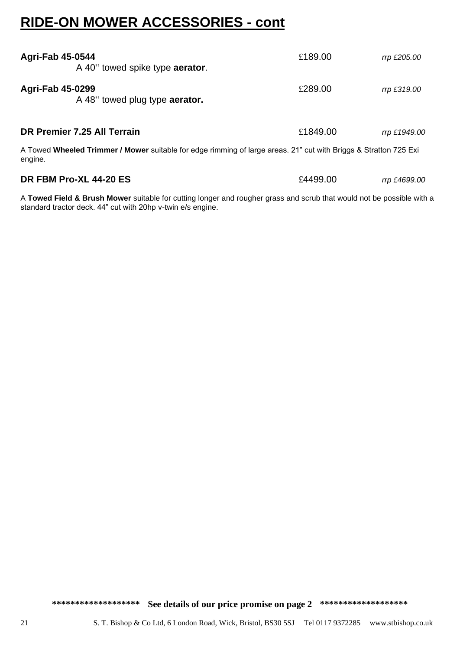# **RIDE-ON MOWER ACCESSORIES - cont**

| <b>Agri-Fab 45-0544</b><br>A 40" towed spike type <b>aerator</b> .                                                          | £189.00  | rrp £205.00  |
|-----------------------------------------------------------------------------------------------------------------------------|----------|--------------|
| <b>Agri-Fab 45-0299</b><br>A 48" towed plug type aerator.                                                                   | £289.00  | rrp £319.00  |
| DR Premier 7.25 All Terrain                                                                                                 | £1849.00 | rrp £1949.00 |
| A Towed Wheeled Trimmer / Mower suitable for edge rimming of large areas. 21" cut with Briggs & Stratton 725 Exi<br>engine. |          |              |
| DR FBM Pro-XL 44-20 ES                                                                                                      | £4499.00 | rrp £4699.00 |

A **Towed Field & Brush Mower** suitable for cutting longer and rougher grass and scrub that would not be possible with a standard tractor deck. 44" cut with 20hp v-twin e/s engine.